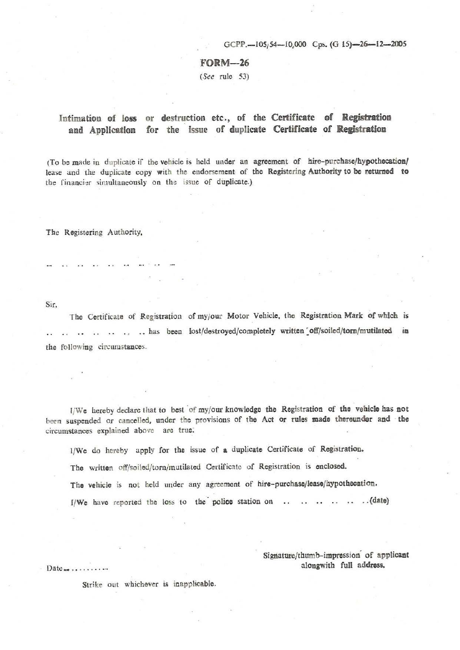GCPP.-105;54-10,000 Cps. (G 15)-26-12-2005

## FORM-26

(See rule 53)

## Intimation of loss or destruction etc., of the Certificate of Registration and AppJication for the issue of duplicate Certificate of **Registration**

(To be made in duplicate if the vehicle is held under an agreement of hire-purchase/hypothecation/ lease and the duplicate copy with the endorsement of the Registering Authority to be **returned to**  the financier simultaneously on the issue of duplicate.)

The Registering Authority.

Sir,

The Certificate of Registration of my/our Motor Vehicle, the Registration Mark of which is .. .. .. .. has been lost/destroyed/completely written off/soiled/torn/mutilated in the following circumstances.

l/We hereby declare that to best of my/our knowledge the Registration of the vehicle has not been suspended or cancelled, under the provisions of the Act or rules made thereunder and the circumstances explained above are true:

1/We do hereby apply for the issue of **a** duplicate Certificate of Registration.

Tho written off/soiled/torn/mutilated Certificate of Registration is enclosed.

The vehicle is not held under any agreement of hire-purchase/lease/hypothecation.

**f/We** bave reported the loss to the· police station on . . (date)

Signature/thumb-impression' of applicant Date\_ alongwitb full address. .•. . .......

Strike out whichever is inapplicable.